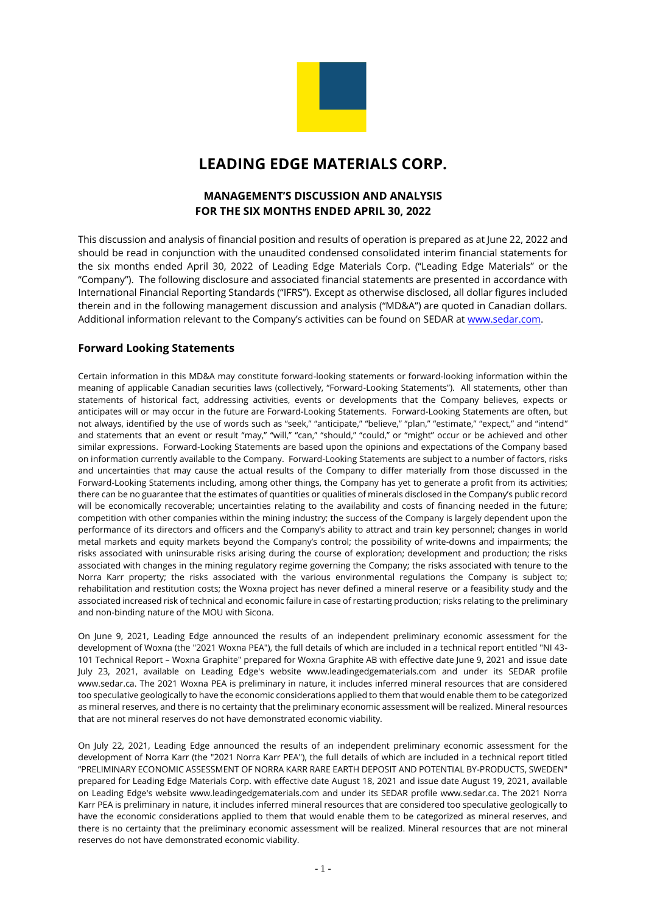

# **LEADING EDGE MATERIALS CORP.**

# **MANAGEMENT'S DISCUSSION AND ANALYSIS FOR THE SIX MONTHS ENDED APRIL 30, 2022**

This discussion and analysis of financial position and results of operation is prepared as at June 22, 2022 and should be read in conjunction with the unaudited condensed consolidated interim financial statements for the six months ended April 30, 2022 of Leading Edge Materials Corp. ("Leading Edge Materials" or the "Company"). The following disclosure and associated financial statements are presented in accordance with International Financial Reporting Standards ("IFRS"). Except as otherwise disclosed, all dollar figures included therein and in the following management discussion and analysis ("MD&A") are quoted in Canadian dollars. Additional information relevant to the Company's activities can be found on SEDAR at [www.sedar.com.](http://www.sedar.com/)

# **Forward Looking Statements**

Certain information in this MD&A may constitute forward-looking statements or forward-looking information within the meaning of applicable Canadian securities laws (collectively, "Forward-Looking Statements"). All statements, other than statements of historical fact, addressing activities, events or developments that the Company believes, expects or anticipates will or may occur in the future are Forward-Looking Statements. Forward-Looking Statements are often, but not always, identified by the use of words such as "seek," "anticipate," "believe," "plan," "estimate," "expect," and "intend" and statements that an event or result "may," "will," "can," "should," "could," or "might" occur or be achieved and other similar expressions. Forward-Looking Statements are based upon the opinions and expectations of the Company based on information currently available to the Company. Forward-Looking Statements are subject to a number of factors, risks and uncertainties that may cause the actual results of the Company to differ materially from those discussed in the Forward-Looking Statements including, among other things, the Company has yet to generate a profit from its activities; there can be no guarantee that the estimates of quantities or qualities of minerals disclosed in the Company's public record will be economically recoverable; uncertainties relating to the availability and costs of financing needed in the future; competition with other companies within the mining industry; the success of the Company is largely dependent upon the performance of its directors and officers and the Company's ability to attract and train key personnel; changes in world metal markets and equity markets beyond the Company's control; the possibility of write-downs and impairments; the risks associated with uninsurable risks arising during the course of exploration; development and production; the risks associated with changes in the mining regulatory regime governing the Company; the risks associated with tenure to the Norra Karr property; the risks associated with the various environmental regulations the Company is subject to; rehabilitation and restitution costs; the Woxna project has never defined a mineral reserve or a feasibility study and the associated increased risk of technical and economic failure in case of restarting production; risks relating to the preliminary and non-binding nature of the MOU with Sicona.

On June 9, 2021, Leading Edge announced the results of an independent preliminary economic assessment for the development of Woxna (the "2021 Woxna PEA"), the full details of which are included in a technical report entitled "NI 43- 101 Technical Report – Woxna Graphite" prepared for Woxna Graphite AB with effective date June 9, 2021 and issue date July 23, 2021, available on Leading Edge's website www.leadingedgematerials.com and under its SEDAR profile www.sedar.ca. The 2021 Woxna PEA is preliminary in nature, it includes inferred mineral resources that are considered too speculative geologically to have the economic considerations applied to them that would enable them to be categorized as mineral reserves, and there is no certainty that the preliminary economic assessment will be realized. Mineral resources that are not mineral reserves do not have demonstrated economic viability.

On July 22, 2021, Leading Edge announced the results of an independent preliminary economic assessment for the development of Norra Karr (the "2021 Norra Karr PEA"), the full details of which are included in a technical report titled "PRELIMINARY ECONOMIC ASSESSMENT OF NORRA KARR RARE EARTH DEPOSIT AND POTENTIAL BY-PRODUCTS, SWEDEN" prepared for Leading Edge Materials Corp. with effective date August 18, 2021 and issue date August 19, 2021, available on Leading Edge's website www.leadingedgematerials.com and under its SEDAR profile www.sedar.ca. The 2021 Norra Karr PEA is preliminary in nature, it includes inferred mineral resources that are considered too speculative geologically to have the economic considerations applied to them that would enable them to be categorized as mineral reserves, and there is no certainty that the preliminary economic assessment will be realized. Mineral resources that are not mineral reserves do not have demonstrated economic viability.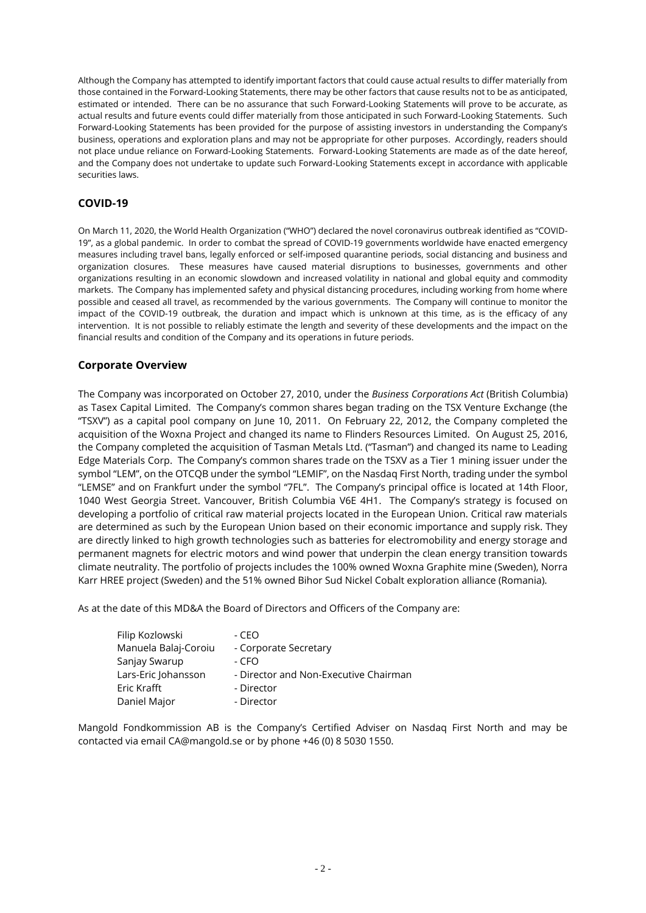Although the Company has attempted to identify important factors that could cause actual results to differ materially from those contained in the Forward-Looking Statements, there may be other factors that cause results not to be as anticipated, estimated or intended. There can be no assurance that such Forward-Looking Statements will prove to be accurate, as actual results and future events could differ materially from those anticipated in such Forward-Looking Statements. Such Forward-Looking Statements has been provided for the purpose of assisting investors in understanding the Company's business, operations and exploration plans and may not be appropriate for other purposes. Accordingly, readers should not place undue reliance on Forward-Looking Statements. Forward-Looking Statements are made as of the date hereof, and the Company does not undertake to update such Forward-Looking Statements except in accordance with applicable securities laws.

# **COVID-19**

On March 11, 2020, the World Health Organization ("WHO") declared the novel coronavirus outbreak identified as "COVID-19", as a global pandemic. In order to combat the spread of COVID-19 governments worldwide have enacted emergency measures including travel bans, legally enforced or self-imposed quarantine periods, social distancing and business and organization closures. These measures have caused material disruptions to businesses, governments and other organizations resulting in an economic slowdown and increased volatility in national and global equity and commodity markets. The Company has implemented safety and physical distancing procedures, including working from home where possible and ceased all travel, as recommended by the various governments. The Company will continue to monitor the impact of the COVID-19 outbreak, the duration and impact which is unknown at this time, as is the efficacy of any intervention. It is not possible to reliably estimate the length and severity of these developments and the impact on the financial results and condition of the Company and its operations in future periods.

### **Corporate Overview**

The Company was incorporated on October 27, 2010, under the *Business Corporations Act* (British Columbia) as Tasex Capital Limited. The Company's common shares began trading on the TSX Venture Exchange (the "TSXV") as a capital pool company on June 10, 2011. On February 22, 2012, the Company completed the acquisition of the Woxna Project and changed its name to Flinders Resources Limited. On August 25, 2016, the Company completed the acquisition of Tasman Metals Ltd. ("Tasman") and changed its name to Leading Edge Materials Corp. The Company's common shares trade on the TSXV as a Tier 1 mining issuer under the symbol "LEM", on the OTCQB under the symbol "LEMIF", on the Nasdaq First North, trading under the symbol "LEMSE" and on Frankfurt under the symbol "7FL". The Company's principal office is located at 14th Floor, 1040 West Georgia Street. Vancouver, British Columbia V6E 4H1. The Company's strategy is focused on developing a portfolio of critical raw material projects located in the European Union. Critical raw materials are determined as such by the European Union based on their economic importance and supply risk. They are directly linked to high growth technologies such as batteries for electromobility and energy storage and permanent magnets for electric motors and wind power that underpin the clean energy transition towards climate neutrality. The portfolio of projects includes the 100% owned Woxna Graphite mine (Sweden), Norra Karr HREE project (Sweden) and the 51% owned Bihor Sud Nickel Cobalt exploration alliance (Romania).

As at the date of this MD&A the Board of Directors and Officers of the Company are:

| Filip Kozlowski      | - CEO                                 |
|----------------------|---------------------------------------|
| Manuela Balaj-Coroiu | - Corporate Secretary                 |
| Sanjay Swarup        | - CFO                                 |
| Lars-Eric Johansson  | - Director and Non-Executive Chairman |
| Eric Krafft          | - Director                            |
| Daniel Major         | - Director                            |
|                      |                                       |

Mangold Fondkommission AB is the Company's Certified Adviser on Nasdaq First North and may be contacted via email CA@mangold.se or by phone +46 (0) 8 5030 1550.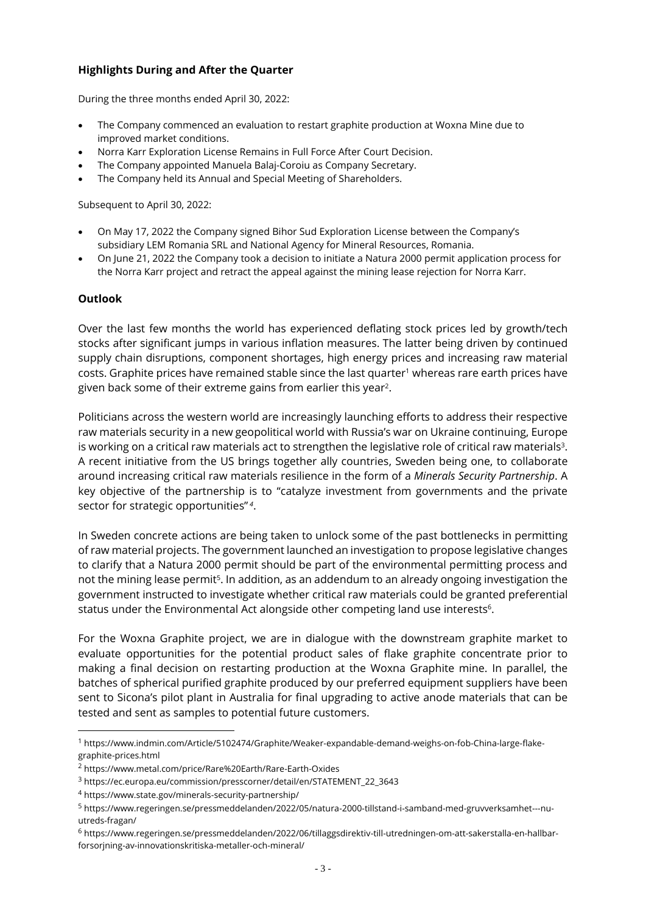# **Highlights During and After the Quarter**

During the three months ended April 30, 2022:

- The Company commenced an evaluation to restart graphite production at Woxna Mine due to improved market conditions.
- Norra Karr Exploration License Remains in Full Force After Court Decision.
- The Company appointed Manuela Balaj-Coroiu as Company Secretary.
- The Company held its Annual and Special Meeting of Shareholders.

Subsequent to April 30, 2022:

- On May 17, 2022 the Company signed Bihor Sud Exploration License between the Company's subsidiary LEM Romania SRL and National Agency for Mineral Resources, Romania.
- On June 21, 2022 the Company took a decision to initiate a Natura 2000 permit application process for the Norra Karr project and retract the appeal against the mining lease rejection for Norra Karr.

#### **Outlook**

Over the last few months the world has experienced deflating stock prices led by growth/tech stocks after significant jumps in various inflation measures. The latter being driven by continued supply chain disruptions, component shortages, high energy prices and increasing raw material costs. Graphite prices have remained stable since the last quarter<sup>1</sup> whereas rare earth prices have given back some of their extreme gains from earlier this year<sup>2</sup>.

Politicians across the western world are increasingly launching efforts to address their respective raw materials security in a new geopolitical world with Russia's war on Ukraine continuing, Europe is working on a critical raw materials act to strengthen the legislative role of critical raw materials<sup>3</sup>. A recent initiative from the US brings together ally countries, Sweden being one, to collaborate around increasing critical raw materials resilience in the form of a *Minerals Security Partnership*. A key objective of the partnership is to "catalyze investment from governments and the private sector for strategic opportunities" *<sup>4</sup>* .

In Sweden concrete actions are being taken to unlock some of the past bottlenecks in permitting of raw material projects. The government launched an investigation to propose legislative changes to clarify that a Natura 2000 permit should be part of the environmental permitting process and not the mining lease permit<sup>5</sup>. In addition, as an addendum to an already ongoing investigation the government instructed to investigate whether critical raw materials could be granted preferential status under the Environmental Act alongside other competing land use interests<sup>6</sup>.

For the Woxna Graphite project, we are in dialogue with the downstream graphite market to evaluate opportunities for the potential product sales of flake graphite concentrate prior to making a final decision on restarting production at the Woxna Graphite mine. In parallel, the batches of spherical purified graphite produced by our preferred equipment suppliers have been sent to Sicona's pilot plant in Australia for final upgrading to active anode materials that can be tested and sent as samples to potential future customers.

<sup>1</sup> https://www.indmin.com/Article/5102474/Graphite/Weaker-expandable-demand-weighs-on-fob-China-large-flakegraphite-prices.html

<sup>2</sup> https://www.metal.com/price/Rare%20Earth/Rare-Earth-Oxides

<sup>3</sup> https://ec.europa.eu/commission/presscorner/detail/en/STATEMENT\_22\_3643

<sup>4</sup> https://www.state.gov/minerals-security-partnership/

<sup>5</sup> https://www.regeringen.se/pressmeddelanden/2022/05/natura-2000-tillstand-i-samband-med-gruvverksamhet---nuutreds-fragan/

<sup>6</sup> https://www.regeringen.se/pressmeddelanden/2022/06/tillaggsdirektiv-till-utredningen-om-att-sakerstalla-en-hallbarforsorjning-av-innovationskritiska-metaller-och-mineral/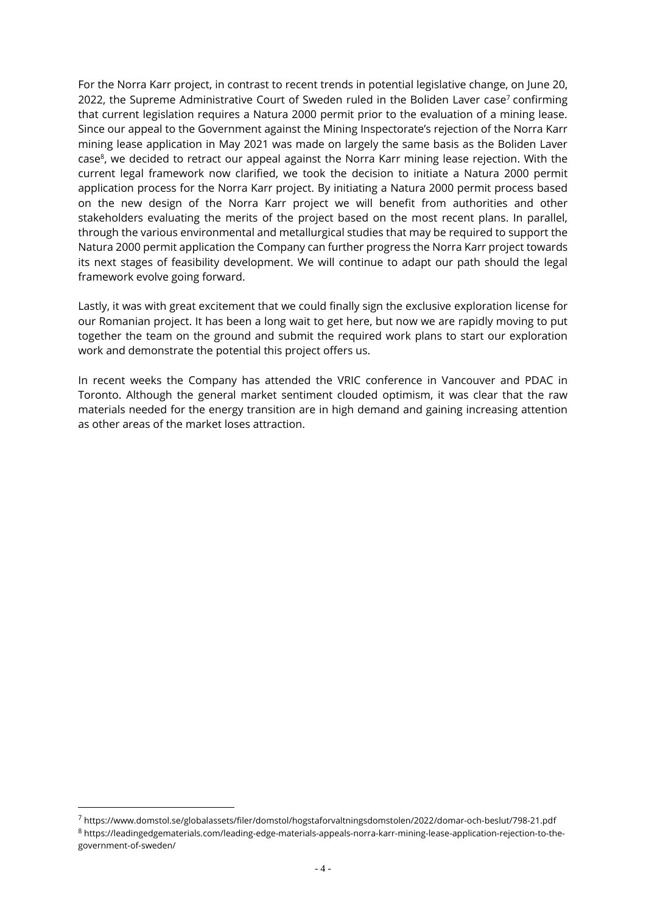For the Norra Karr project, in contrast to recent trends in potential legislative change, on June 20, 2022, the Supreme Administrative Court of Sweden ruled in the Boliden Laver case<sup>7</sup> confirming that current legislation requires a Natura 2000 permit prior to the evaluation of a mining lease. Since our appeal to the Government against the Mining Inspectorate's rejection of the Norra Karr mining lease application in May 2021 was made on largely the same basis as the Boliden Laver case<sup>8</sup> , we decided to retract our appeal against the Norra Karr mining lease rejection. With the current legal framework now clarified, we took the decision to initiate a Natura 2000 permit application process for the Norra Karr project. By initiating a Natura 2000 permit process based on the new design of the Norra Karr project we will benefit from authorities and other stakeholders evaluating the merits of the project based on the most recent plans. In parallel, through the various environmental and metallurgical studies that may be required to support the Natura 2000 permit application the Company can further progress the Norra Karr project towards its next stages of feasibility development. We will continue to adapt our path should the legal framework evolve going forward.

Lastly, it was with great excitement that we could finally sign the exclusive exploration license for our Romanian project. It has been a long wait to get here, but now we are rapidly moving to put together the team on the ground and submit the required work plans to start our exploration work and demonstrate the potential this project offers us.

In recent weeks the Company has attended the VRIC conference in Vancouver and PDAC in Toronto. Although the general market sentiment clouded optimism, it was clear that the raw materials needed for the energy transition are in high demand and gaining increasing attention as other areas of the market loses attraction.

<sup>7</sup> https://www.domstol.se/globalassets/filer/domstol/hogstaforvaltningsdomstolen/2022/domar-och-beslut/798-21.pdf <sup>8</sup> https://leadingedgematerials.com/leading-edge-materials-appeals-norra-karr-mining-lease-application-rejection-to-thegovernment-of-sweden/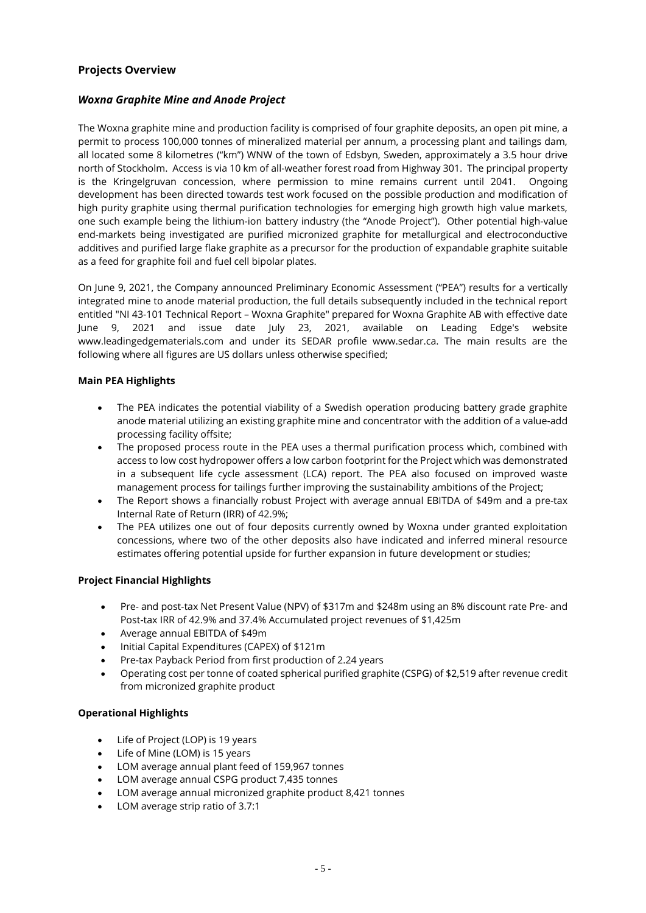# **Projects Overview**

# *Woxna Graphite Mine and Anode Project*

The Woxna graphite mine and production facility is comprised of four graphite deposits, an open pit mine, a permit to process 100,000 tonnes of mineralized material per annum, a processing plant and tailings dam, all located some 8 kilometres ("km") WNW of the town of Edsbyn, Sweden, approximately a 3.5 hour drive north of Stockholm. Access is via 10 km of all-weather forest road from Highway 301. The principal property is the Kringelgruvan concession, where permission to mine remains current until 2041. Ongoing development has been directed towards test work focused on the possible production and modification of high purity graphite using thermal purification technologies for emerging high growth high value markets, one such example being the lithium-ion battery industry (the "Anode Project"). Other potential high-value end-markets being investigated are purified micronized graphite for metallurgical and electroconductive additives and purified large flake graphite as a precursor for the production of expandable graphite suitable as a feed for graphite foil and fuel cell bipolar plates.

On June 9, 2021, the Company announced Preliminary Economic Assessment ("PEA") results for a vertically integrated mine to anode material production, the full details subsequently included in the technical report entitled "NI 43-101 Technical Report – Woxna Graphite" prepared for Woxna Graphite AB with effective date June 9, 2021 and issue date July 23, 2021, available on Leading Edge's website www.leadingedgematerials.com and under its SEDAR profile www.sedar.ca. The main results are the following where all figures are US dollars unless otherwise specified;

### **Main PEA Highlights**

- The PEA indicates the potential viability of a Swedish operation producing battery grade graphite anode material utilizing an existing graphite mine and concentrator with the addition of a value-add processing facility offsite;
- The proposed process route in the PEA uses a thermal purification process which, combined with access to low cost hydropower offers a low carbon footprint for the Project which was demonstrated in a subsequent life cycle assessment (LCA) report. The PEA also focused on improved waste management process for tailings further improving the sustainability ambitions of the Project;
- The Report shows a financially robust Project with average annual EBITDA of \$49m and a pre-tax Internal Rate of Return (IRR) of 42.9%;
- The PEA utilizes one out of four deposits currently owned by Woxna under granted exploitation concessions, where two of the other deposits also have indicated and inferred mineral resource estimates offering potential upside for further expansion in future development or studies;

### **Project Financial Highlights**

- Pre- and post-tax Net Present Value (NPV) of \$317m and \$248m using an 8% discount rate Pre- and Post-tax IRR of 42.9% and 37.4% Accumulated project revenues of \$1,425m
- Average annual EBITDA of \$49m
- Initial Capital Expenditures (CAPEX) of \$121m
- Pre-tax Payback Period from first production of 2.24 years
- Operating cost per tonne of coated spherical purified graphite (CSPG) of \$2,519 after revenue credit from micronized graphite product

#### **Operational Highlights**

- Life of Project (LOP) is 19 years
- Life of Mine (LOM) is 15 years
- LOM average annual plant feed of 159,967 tonnes
- LOM average annual CSPG product 7,435 tonnes
- LOM average annual micronized graphite product 8,421 tonnes
- LOM average strip ratio of 3.7:1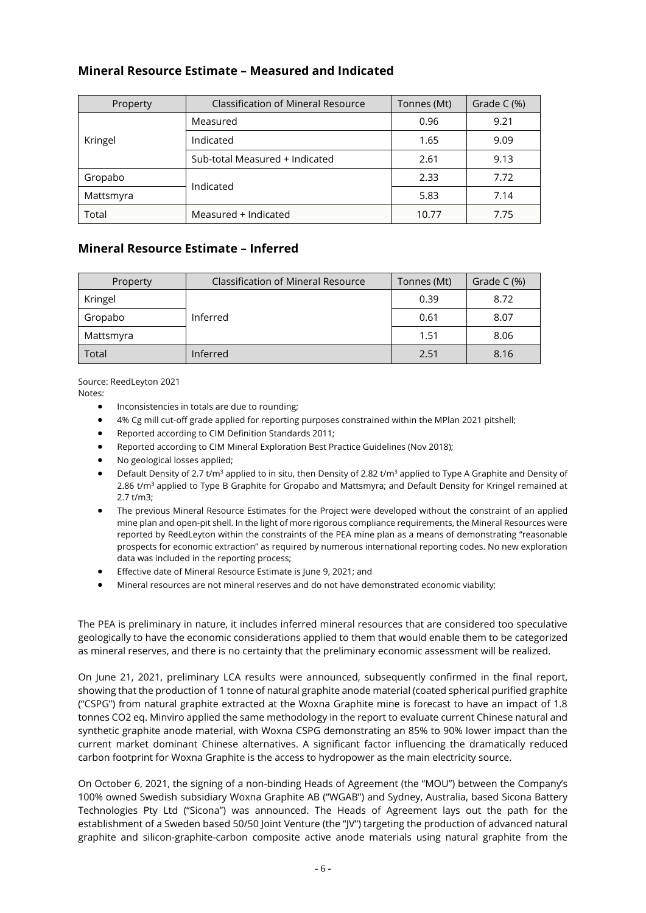# **Mineral Resource Estimate – Measured and Indicated**

| Property  | Classification of Mineral Resource | Tonnes (Mt) | Grade C (%) |
|-----------|------------------------------------|-------------|-------------|
|           | Measured                           | 0.96        | 9.21        |
| Kringel   | Indicated                          | 1.65        | 9.09        |
|           | Sub-total Measured + Indicated     | 2.61        | 9.13        |
| Gropabo   | Indicated                          | 2.33        | 7.72        |
| Mattsmyra |                                    | 5.83        | 7.14        |
| Total     | Measured + Indicated               | 10.77       | 7.75        |

# **Mineral Resource Estimate – Inferred**

| Property  | Classification of Mineral Resource | Tonnes (Mt) | Grade $C(\%)$ |
|-----------|------------------------------------|-------------|---------------|
| Kringel   |                                    | 0.39        | 8.72          |
| Gropabo   | Inferred                           | 0.61        | 8.07          |
| Mattsmyra |                                    | 1.51        | 8.06          |
| Total     | Inferred                           | 2.51        | 8.16          |

Source: ReedLeyton 2021

Notes:

- Inconsistencies in totals are due to rounding;
- 4% Cg mill cut-off grade applied for reporting purposes constrained within the MPlan 2021 pitshell;
- Reported according to CIM Definition Standards 2011;
- Reported according to CIM Mineral Exploration Best Practice Guidelines (Nov 2018);
- No geological losses applied;
- Default Density of 2.7 t/m<sup>3</sup> applied to in situ, then Density of 2.82 t/m<sup>3</sup> applied to Type A Graphite and Density of 2.86 t/m<sup>3</sup> applied to Type B Graphite for Gropabo and Mattsmyra; and Default Density for Kringel remained at  $2.7$  t/m3 $\cdot$
- The previous Mineral Resource Estimates for the Project were developed without the constraint of an applied mine plan and open-pit shell. In the light of more rigorous compliance requirements, the Mineral Resources were reported by ReedLeyton within the constraints of the PEA mine plan as a means of demonstrating "reasonable prospects for economic extraction" as required by numerous international reporting codes. No new exploration data was included in the reporting process;
- Effective date of Mineral Resource Estimate is June 9, 2021; and
- Mineral resources are not mineral reserves and do not have demonstrated economic viability;

The PEA is preliminary in nature, it includes inferred mineral resources that are considered too speculative geologically to have the economic considerations applied to them that would enable them to be categorized as mineral reserves, and there is no certainty that the preliminary economic assessment will be realized.

On June 21, 2021, preliminary LCA results were announced, subsequently confirmed in the final report, showing that the production of 1 tonne of natural graphite anode material (coated spherical purified graphite ("CSPG") from natural graphite extracted at the Woxna Graphite mine is forecast to have an impact of 1.8 tonnes CO2 eq. Minviro applied the same methodology in the report to evaluate current Chinese natural and synthetic graphite anode material, with Woxna CSPG demonstrating an 85% to 90% lower impact than the current market dominant Chinese alternatives. A significant factor influencing the dramatically reduced carbon footprint for Woxna Graphite is the access to hydropower as the main electricity source.

On October 6, 2021, the signing of a non-binding Heads of Agreement (the "MOU") between the Company's 100% owned Swedish subsidiary Woxna Graphite AB ("WGAB") and Sydney, Australia, based Sicona Battery Technologies Pty Ltd ("Sicona") was announced. The Heads of Agreement lays out the path for the establishment of a Sweden based 50/50 Joint Venture (the "JV") targeting the production of advanced natural graphite and silicon-graphite-carbon composite active anode materials using natural graphite from the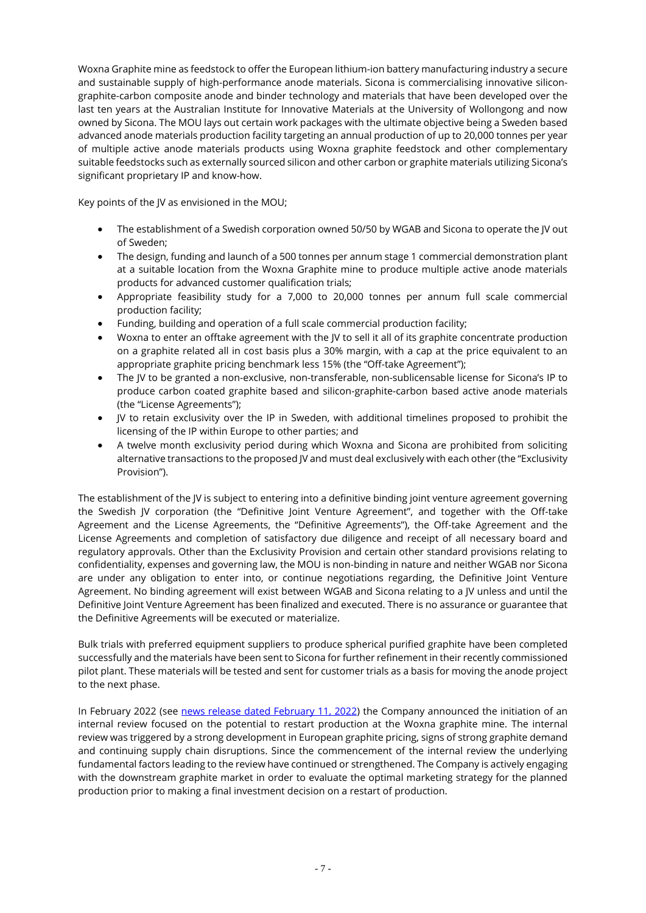Woxna Graphite mine as feedstock to offer the European lithium-ion battery manufacturing industry a secure and sustainable supply of high-performance anode materials. Sicona is commercialising innovative silicongraphite-carbon composite anode and binder technology and materials that have been developed over the last ten years at the Australian Institute for Innovative Materials at the University of Wollongong and now owned by Sicona. The MOU lays out certain work packages with the ultimate objective being a Sweden based advanced anode materials production facility targeting an annual production of up to 20,000 tonnes per year of multiple active anode materials products using Woxna graphite feedstock and other complementary suitable feedstocks such as externally sourced silicon and other carbon or graphite materials utilizing Sicona's significant proprietary IP and know-how.

Key points of the JV as envisioned in the MOU;

- The establishment of a Swedish corporation owned 50/50 by WGAB and Sicona to operate the JV out of Sweden;
- The design, funding and launch of a 500 tonnes per annum stage 1 commercial demonstration plant at a suitable location from the Woxna Graphite mine to produce multiple active anode materials products for advanced customer qualification trials;
- Appropriate feasibility study for a 7,000 to 20,000 tonnes per annum full scale commercial production facility;
- Funding, building and operation of a full scale commercial production facility;
- Woxna to enter an offtake agreement with the JV to sell it all of its graphite concentrate production on a graphite related all in cost basis plus a 30% margin, with a cap at the price equivalent to an appropriate graphite pricing benchmark less 15% (the "Off-take Agreement");
- The JV to be granted a non-exclusive, non-transferable, non-sublicensable license for Sicona's IP to produce carbon coated graphite based and silicon-graphite-carbon based active anode materials (the "License Agreements");
- JV to retain exclusivity over the IP in Sweden, with additional timelines proposed to prohibit the licensing of the IP within Europe to other parties; and
- A twelve month exclusivity period during which Woxna and Sicona are prohibited from soliciting alternative transactions to the proposed JV and must deal exclusively with each other (the "Exclusivity Provision").

The establishment of the JV is subject to entering into a definitive binding joint venture agreement governing the Swedish JV corporation (the "Definitive Joint Venture Agreement", and together with the Off-take Agreement and the License Agreements, the "Definitive Agreements"), the Off-take Agreement and the License Agreements and completion of satisfactory due diligence and receipt of all necessary board and regulatory approvals. Other than the Exclusivity Provision and certain other standard provisions relating to confidentiality, expenses and governing law, the MOU is non-binding in nature and neither WGAB nor Sicona are under any obligation to enter into, or continue negotiations regarding, the Definitive Joint Venture Agreement. No binding agreement will exist between WGAB and Sicona relating to a JV unless and until the Definitive Joint Venture Agreement has been finalized and executed. There is no assurance or guarantee that the Definitive Agreements will be executed or materialize.

Bulk trials with preferred equipment suppliers to produce spherical purified graphite have been completed successfully and the materials have been sent to Sicona for further refinement in their recently commissioned pilot plant. These materials will be tested and sent for customer trials as a basis for moving the anode project to the next phase.

In February 2022 (see [news release dated February 11, 2022\)](https://leadingedgematerials.com/leading-edge-materials-to-evaluate-restart-of-graphite-production-at-woxna-mine-due-to-improved-market-conditions/) the Company announced the initiation of an internal review focused on the potential to restart production at the Woxna graphite mine. The internal review was triggered by a strong development in European graphite pricing, signs of strong graphite demand and continuing supply chain disruptions. Since the commencement of the internal review the underlying fundamental factors leading to the review have continued or strengthened. The Company is actively engaging with the downstream graphite market in order to evaluate the optimal marketing strategy for the planned production prior to making a final investment decision on a restart of production.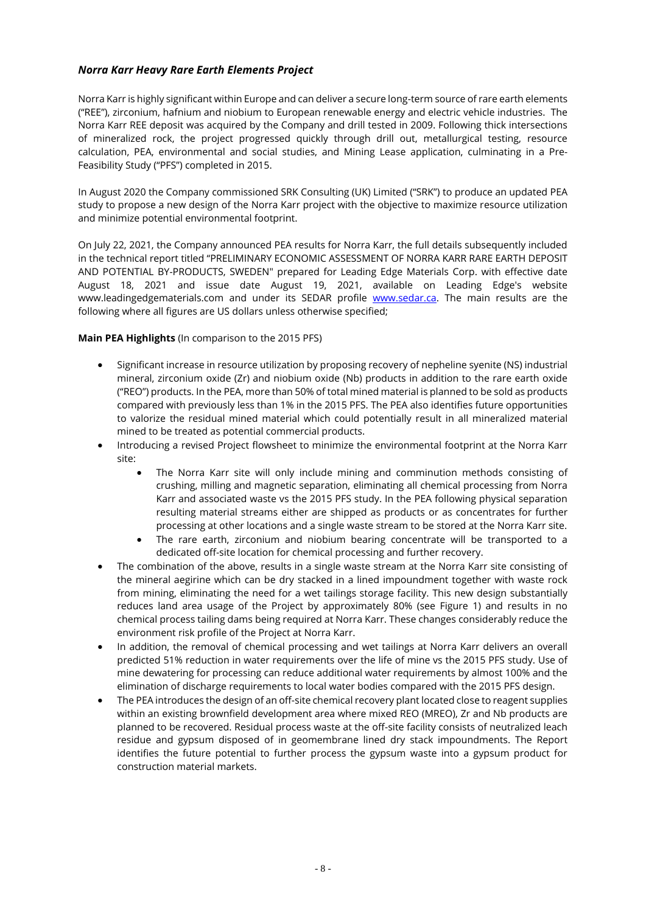# *Norra Karr Heavy Rare Earth Elements Project*

Norra Karr is highly significant within Europe and can deliver a secure long-term source of rare earth elements ("REE"), zirconium, hafnium and niobium to European renewable energy and electric vehicle industries. The Norra Karr REE deposit was acquired by the Company and drill tested in 2009. Following thick intersections of mineralized rock, the project progressed quickly through drill out, metallurgical testing, resource calculation, PEA, environmental and social studies, and Mining Lease application, culminating in a Pre-Feasibility Study ("PFS") completed in 2015.

In August 2020 the Company commissioned SRK Consulting (UK) Limited ("SRK") to produce an updated PEA study to propose a new design of the Norra Karr project with the objective to maximize resource utilization and minimize potential environmental footprint.

On July 22, 2021, the Company announced PEA results for Norra Karr, the full details subsequently included in the technical report titled "PRELIMINARY ECONOMIC ASSESSMENT OF NORRA KARR RARE EARTH DEPOSIT AND POTENTIAL BY-PRODUCTS, SWEDEN" prepared for Leading Edge Materials Corp. with effective date August 18, 2021 and issue date August 19, 2021, available on Leading Edge's website www.leadingedgematerials.com and under its SEDAR profile [www.sedar.ca.](http://www.sedar.ca/) The main results are the following where all figures are US dollars unless otherwise specified;

#### **Main PEA Highlights** (In comparison to the 2015 PFS)

- Significant increase in resource utilization by proposing recovery of nepheline syenite (NS) industrial mineral, zirconium oxide (Zr) and niobium oxide (Nb) products in addition to the rare earth oxide ("REO") products. In the PEA, more than 50% of total mined material is planned to be sold as products compared with previously less than 1% in the 2015 PFS. The PEA also identifies future opportunities to valorize the residual mined material which could potentially result in all mineralized material mined to be treated as potential commercial products.
- Introducing a revised Project flowsheet to minimize the environmental footprint at the Norra Karr site:
	- The Norra Karr site will only include mining and comminution methods consisting of crushing, milling and magnetic separation, eliminating all chemical processing from Norra Karr and associated waste vs the 2015 PFS study. In the PEA following physical separation resulting material streams either are shipped as products or as concentrates for further processing at other locations and a single waste stream to be stored at the Norra Karr site.
	- The rare earth, zirconium and niobium bearing concentrate will be transported to a dedicated off-site location for chemical processing and further recovery.
- The combination of the above, results in a single waste stream at the Norra Karr site consisting of the mineral aegirine which can be dry stacked in a lined impoundment together with waste rock from mining, eliminating the need for a wet tailings storage facility. This new design substantially reduces land area usage of the Project by approximately 80% (see Figure 1) and results in no chemical process tailing dams being required at Norra Karr. These changes considerably reduce the environment risk profile of the Project at Norra Karr.
- In addition, the removal of chemical processing and wet tailings at Norra Karr delivers an overall predicted 51% reduction in water requirements over the life of mine vs the 2015 PFS study. Use of mine dewatering for processing can reduce additional water requirements by almost 100% and the elimination of discharge requirements to local water bodies compared with the 2015 PFS design.
- The PEA introduces the design of an off-site chemical recovery plant located close to reagent supplies within an existing brownfield development area where mixed REO (MREO), Zr and Nb products are planned to be recovered. Residual process waste at the off-site facility consists of neutralized leach residue and gypsum disposed of in geomembrane lined dry stack impoundments. The Report identifies the future potential to further process the gypsum waste into a gypsum product for construction material markets.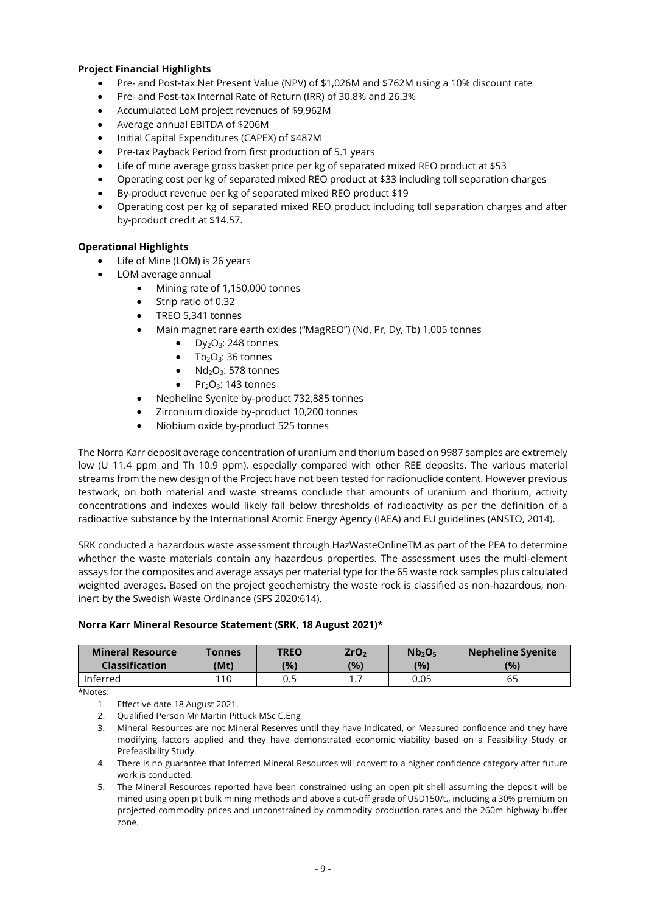### **Project Financial Highlights**

- Pre- and Post-tax Net Present Value (NPV) of \$1,026M and \$762M using a 10% discount rate
- Pre- and Post-tax Internal Rate of Return (IRR) of 30.8% and 26.3%
- Accumulated LoM project revenues of \$9,962M
- Average annual EBITDA of \$206M
- Initial Capital Expenditures (CAPEX) of \$487M
- Pre-tax Payback Period from first production of 5.1 years
- Life of mine average gross basket price per kg of separated mixed REO product at \$53
- Operating cost per kg of separated mixed REO product at \$33 including toll separation charges
- By-product revenue per kg of separated mixed REO product \$19
- Operating cost per kg of separated mixed REO product including toll separation charges and after by-product credit at \$14.57.

#### **Operational Highlights**

- Life of Mine (LOM) is 26 years
- LOM average annual
	- Mining rate of 1,150,000 tonnes
	- Strip ratio of 0.32
	- TREO 5,341 tonnes
	- Main magnet rare earth oxides ("MagREO") (Nd, Pr, Dy, Tb) 1,005 tonnes
		- Dy<sub>2</sub>O<sub>3</sub>: 248 tonnes
		- $\bullet$  Tb<sub>2</sub>O<sub>3</sub>: 36 tonnes
		- $\bullet$  Nd<sub>2</sub>O<sub>3</sub>: 578 tonnes
		- $\bullet$  Pr<sub>2</sub>O<sub>3</sub>: 143 tonnes
	- Nepheline Syenite by-product 732,885 tonnes
	- Zirconium dioxide by-product 10,200 tonnes
	- Niobium oxide by-product 525 tonnes

The Norra Karr deposit average concentration of uranium and thorium based on 9987 samples are extremely low (U 11.4 ppm and Th 10.9 ppm), especially compared with other REE deposits. The various material streams from the new design of the Project have not been tested for radionuclide content. However previous testwork, on both material and waste streams conclude that amounts of uranium and thorium, activity concentrations and indexes would likely fall below thresholds of radioactivity as per the definition of a radioactive substance by the International Atomic Energy Agency (IAEA) and EU guidelines (ANSTO, 2014).

SRK conducted a hazardous waste assessment through HazWasteOnlineTM as part of the PEA to determine whether the waste materials contain any hazardous properties. The assessment uses the multi-element assays for the composites and average assays per material type for the 65 waste rock samples plus calculated weighted averages. Based on the project geochemistry the waste rock is classified as non-hazardous, noninert by the Swedish Waste Ordinance (SFS 2020:614).

#### **Norra Karr Mineral Resource Statement (SRK, 18 August 2021)\***

| <b>Mineral Resource</b> | Tonnes | <b>TREO</b> | ZrO <sub>2</sub> | Nb <sub>2</sub> O <sub>5</sub> | <b>Nepheline Syenite</b> |
|-------------------------|--------|-------------|------------------|--------------------------------|--------------------------|
| <b>Classification</b>   | (Mt)   | (%)         | (96)             | (%)                            | (%)                      |
| Inferred                | 110    | 0.5         | ٠. ا             | 0.05                           | 65                       |

\*Notes:

- 2. Qualified Person Mr Martin Pittuck MSc C.Eng
- 3. Mineral Resources are not Mineral Reserves until they have Indicated, or Measured confidence and they have modifying factors applied and they have demonstrated economic viability based on a Feasibility Study or Prefeasibility Study.
- 4. There is no guarantee that Inferred Mineral Resources will convert to a higher confidence category after future work is conducted.
- 5. The Mineral Resources reported have been constrained using an open pit shell assuming the deposit will be mined using open pit bulk mining methods and above a cut-off grade of USD150/t., including a 30% premium on projected commodity prices and unconstrained by commodity production rates and the 260m highway buffer zone.

<sup>1.</sup> Effective date 18 August 2021.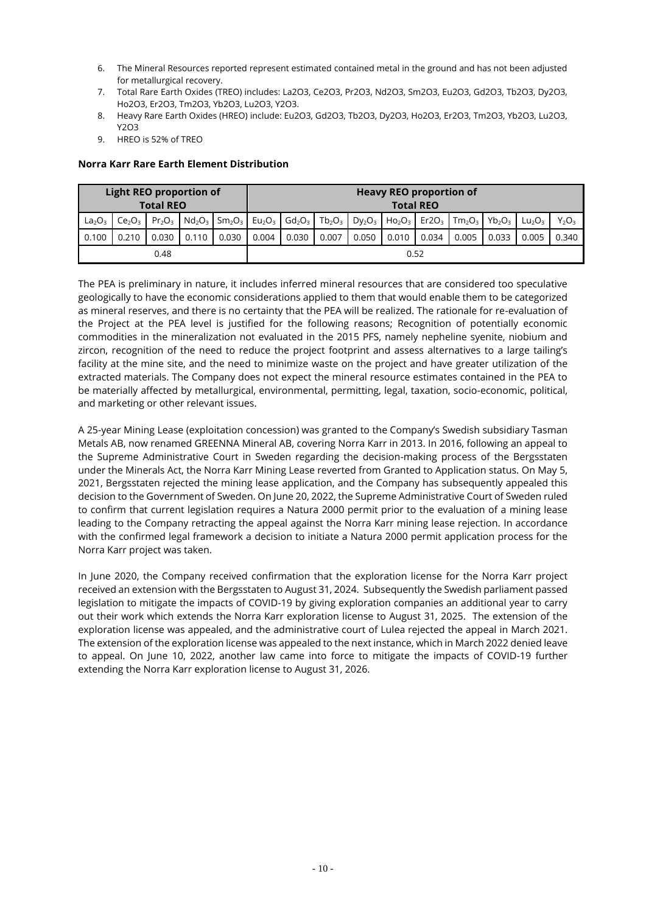- 6. The Mineral Resources reported represent estimated contained metal in the ground and has not been adjusted for metallurgical recovery.
- 7. Total Rare Earth Oxides (TREO) includes: La2O3, Ce2O3, Pr2O3, Nd2O3, Sm2O3, Eu2O3, Gd2O3, Tb2O3, Dy2O3, Ho2O3, Er2O3, Tm2O3, Yb2O3, Lu2O3, Y2O3.
- 8. Heavy Rare Earth Oxides (HREO) include: Eu2O3, Gd2O3, Tb2O3, Dy2O3, Ho2O3, Er2O3, Tm2O3, Yb2O3, Lu2O3, Y2O3
- 9. HREO is 52% of TREO

#### **Norra Karr Rare Earth Element Distribution**

|                                | <b>Light REO proportion of</b> | <b>Total REO</b> |       |                               | <b>Heavy REO proportion of</b><br><b>Total REO</b> |       |                                          |       |                     |       |                    |           |           |          |
|--------------------------------|--------------------------------|------------------|-------|-------------------------------|----------------------------------------------------|-------|------------------------------------------|-------|---------------------|-------|--------------------|-----------|-----------|----------|
| La <sub>2</sub> O <sub>3</sub> | Ce <sub>2</sub> O <sub>3</sub> | $Pr_2O_3$        |       | $Nd_2O_3$ $Sm_2O_3$ $Eu_2O_3$ |                                                    |       | $Gd_2O_3$ Tb <sub>2</sub> O <sub>3</sub> |       | $Dy_2O_3$ $Ho_2O_3$ |       | $Er2O_3$ $Tm_2O_3$ | $Yb_2O_3$ | $Lu_2O_3$ | $Y_2O_3$ |
| 0.100                          | 0.210                          | 0.030            | 0.110 | 0.030                         | 0.004                                              | 0.030 | 0.007                                    | 0.050 | 0.010               | 0.034 | 0.005              | 0.033     | 0.005     | 0.340    |
|                                |                                | 0.48             |       |                               | 0.52                                               |       |                                          |       |                     |       |                    |           |           |          |

The PEA is preliminary in nature, it includes inferred mineral resources that are considered too speculative geologically to have the economic considerations applied to them that would enable them to be categorized as mineral reserves, and there is no certainty that the PEA will be realized. The rationale for re-evaluation of the Project at the PEA level is justified for the following reasons; Recognition of potentially economic commodities in the mineralization not evaluated in the 2015 PFS, namely nepheline syenite, niobium and zircon, recognition of the need to reduce the project footprint and assess alternatives to a large tailing's facility at the mine site, and the need to minimize waste on the project and have greater utilization of the extracted materials. The Company does not expect the mineral resource estimates contained in the PEA to be materially affected by metallurgical, environmental, permitting, legal, taxation, socio-economic, political, and marketing or other relevant issues.

A 25-year Mining Lease (exploitation concession) was granted to the Company's Swedish subsidiary Tasman Metals AB, now renamed GREENNA Mineral AB, covering Norra Karr in 2013. In 2016, following an appeal to the Supreme Administrative Court in Sweden regarding the decision-making process of the Bergsstaten under the Minerals Act, the Norra Karr Mining Lease reverted from Granted to Application status. On May 5, 2021, Bergsstaten rejected the mining lease application, and the Company has subsequently appealed this decision to the Government of Sweden. On June 20, 2022, the Supreme Administrative Court of Sweden ruled to confirm that current legislation requires a Natura 2000 permit prior to the evaluation of a mining lease leading to the Company retracting the appeal against the Norra Karr mining lease rejection. In accordance with the confirmed legal framework a decision to initiate a Natura 2000 permit application process for the Norra Karr project was taken.

In June 2020, the Company received confirmation that the exploration license for the Norra Karr project received an extension with the Bergsstaten to August 31, 2024. Subsequently the Swedish parliament passed legislation to mitigate the impacts of COVID-19 by giving exploration companies an additional year to carry out their work which extends the Norra Karr exploration license to August 31, 2025. The extension of the exploration license was appealed, and the administrative court of Lulea rejected the appeal in March 2021. The extension of the exploration license was appealed to the next instance, which in March 2022 denied leave to appeal. On June 10, 2022, another law came into force to mitigate the impacts of COVID-19 further extending the Norra Karr exploration license to August 31, 2026.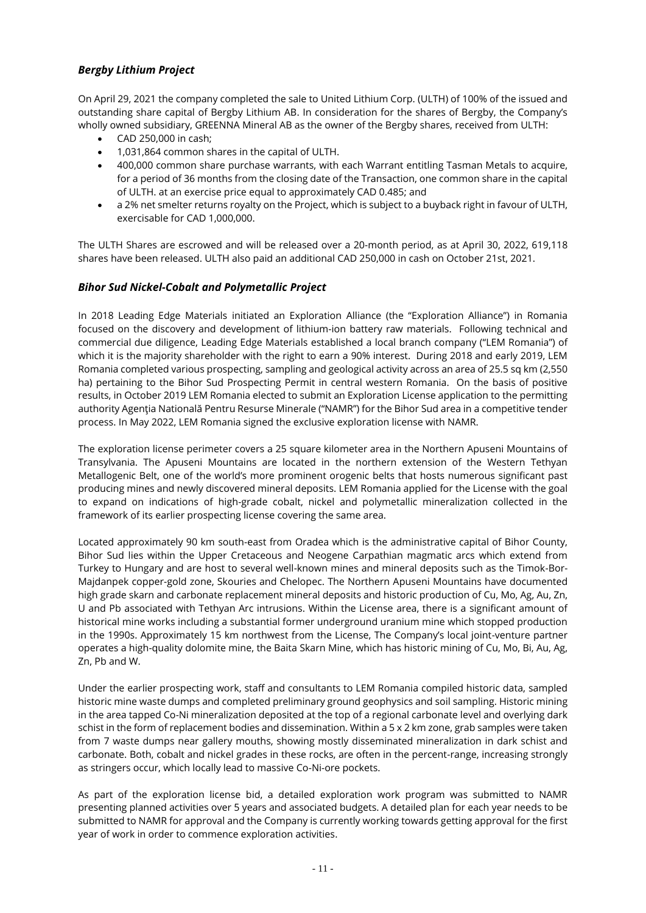# *Bergby Lithium Project*

On April 29, 2021 the company completed the sale to United Lithium Corp. (ULTH) of 100% of the issued and outstanding share capital of Bergby Lithium AB. In consideration for the shares of Bergby, the Company's wholly owned subsidiary, GREENNA Mineral AB as the owner of the Bergby shares, received from ULTH:

- CAD 250,000 in cash;
- 1,031,864 common shares in the capital of ULTH.
- 400,000 common share purchase warrants, with each Warrant entitling Tasman Metals to acquire, for a period of 36 months from the closing date of the Transaction, one common share in the capital of ULTH. at an exercise price equal to approximately CAD 0.485; and
- a 2% net smelter returns royalty on the Project, which is subject to a buyback right in favour of ULTH, exercisable for CAD 1,000,000.

The ULTH Shares are escrowed and will be released over a 20-month period, as at April 30, 2022, 619,118 shares have been released. ULTH also paid an additional CAD 250,000 in cash on October 21st, 2021.

# *Bihor Sud Nickel-Cobalt and Polymetallic Project*

In 2018 Leading Edge Materials initiated an Exploration Alliance (the "Exploration Alliance") in Romania focused on the discovery and development of lithium-ion battery raw materials. Following technical and commercial due diligence, Leading Edge Materials established a local branch company ("LEM Romania") of which it is the majority shareholder with the right to earn a 90% interest. During 2018 and early 2019, LEM Romania completed various prospecting, sampling and geological activity across an area of 25.5 sq km (2,550 ha) pertaining to the Bihor Sud Prospecting Permit in central western Romania. On the basis of positive results, in October 2019 LEM Romania elected to submit an Exploration License application to the permitting authority Agenția Natională Pentru Resurse Minerale ("NAMR") for the Bihor Sud area in a competitive tender process. In May 2022, LEM Romania signed the exclusive exploration license with NAMR.

The exploration license perimeter covers a 25 square kilometer area in the Northern Apuseni Mountains of Transylvania. The Apuseni Mountains are located in the northern extension of the Western Tethyan Metallogenic Belt, one of the world's more prominent orogenic belts that hosts numerous significant past producing mines and newly discovered mineral deposits. LEM Romania applied for the License with the goal to expand on indications of high-grade cobalt, nickel and polymetallic mineralization collected in the framework of its earlier prospecting license covering the same area.

Located approximately 90 km south-east from Oradea which is the administrative capital of Bihor County, Bihor Sud lies within the Upper Cretaceous and Neogene Carpathian magmatic arcs which extend from Turkey to Hungary and are host to several well-known mines and mineral deposits such as the Timok-Bor-Majdanpek copper-gold zone, Skouries and Chelopec. The Northern Apuseni Mountains have documented high grade skarn and carbonate replacement mineral deposits and historic production of Cu, Mo, Ag, Au, Zn, U and Pb associated with Tethyan Arc intrusions. Within the License area, there is a significant amount of historical mine works including a substantial former underground uranium mine which stopped production in the 1990s. Approximately 15 km northwest from the License, The Company's local joint-venture partner operates a high-quality dolomite mine, the Baita Skarn Mine, which has historic mining of Cu, Mo, Bi, Au, Ag, Zn, Pb and W.

Under the earlier prospecting work, staff and consultants to LEM Romania compiled historic data, sampled historic mine waste dumps and completed preliminary ground geophysics and soil sampling. Historic mining in the area tapped Co-Ni mineralization deposited at the top of a regional carbonate level and overlying dark schist in the form of replacement bodies and dissemination. Within a 5 x 2 km zone, grab samples were taken from 7 waste dumps near gallery mouths, showing mostly disseminated mineralization in dark schist and carbonate. Both, cobalt and nickel grades in these rocks, are often in the percent-range, increasing strongly as stringers occur, which locally lead to massive Co-Ni-ore pockets.

As part of the exploration license bid, a detailed exploration work program was submitted to NAMR presenting planned activities over 5 years and associated budgets. A detailed plan for each year needs to be submitted to NAMR for approval and the Company is currently working towards getting approval for the first year of work in order to commence exploration activities.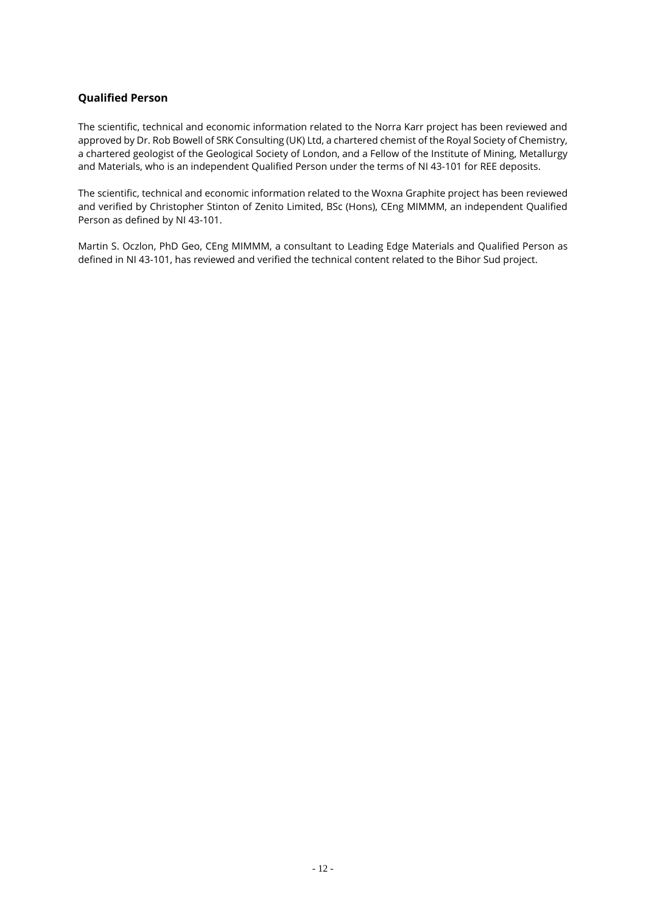# **Qualified Person**

The scientific, technical and economic information related to the Norra Karr project has been reviewed and approved by Dr. Rob Bowell of SRK Consulting (UK) Ltd, a chartered chemist of the Royal Society of Chemistry, a chartered geologist of the Geological Society of London, and a Fellow of the Institute of Mining, Metallurgy and Materials, who is an independent Qualified Person under the terms of NI 43-101 for REE deposits.

The scientific, technical and economic information related to the Woxna Graphite project has been reviewed and verified by Christopher Stinton of Zenito Limited, BSc (Hons), CEng MIMMM, an independent Qualified Person as defined by NI 43-101.

Martin S. Oczlon, PhD Geo, CEng MIMMM, a consultant to Leading Edge Materials and Qualified Person as defined in NI 43-101, has reviewed and verified the technical content related to the Bihor Sud project.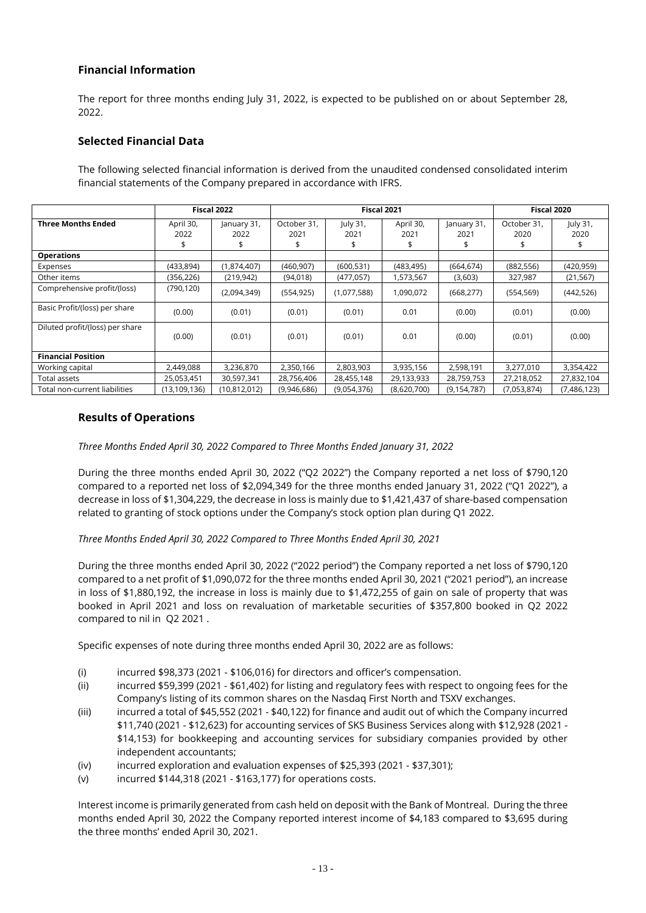# **Financial Information**

The report for three months ending July 31, 2022, is expected to be published on or about September 28, 2022.

# **Selected Financial Data**

The following selected financial information is derived from the unaudited condensed consolidated interim financial statements of the Company prepared in accordance with IFRS.

|                                 |                        | Fiscal 2022              |                          | Fiscal 2021            |                   |                           |                           | Fiscal 2020      |
|---------------------------------|------------------------|--------------------------|--------------------------|------------------------|-------------------|---------------------------|---------------------------|------------------|
| <b>Three Months Ended</b>       | April 30,<br>2022<br>Ъ | January 31,<br>2022<br>Ъ | October 31,<br>2021<br>£ | July 31,<br>2021<br>\$ | April 30,<br>2021 | January 31,<br>2021<br>\$ | October 31.<br>2020<br>\$ | July 31,<br>2020 |
| <b>Operations</b>               |                        |                          |                          |                        |                   |                           |                           |                  |
| Expenses                        | (433, 894)             | (1,874,407)              | (460, 907)               | (600, 531)             | (483, 495)        | (664, 674)                | (882, 556)                | (420, 959)       |
| Other items                     | (356, 226)             | (219, 942)               | (94,018)                 | (477, 057)             | 1,573,567         | (3,603)                   | 327,987                   | (21, 567)        |
| Comprehensive profit/(loss)     | (790, 120)             | (2,094,349)              | (554, 925)               | (1,077,588)            | 1,090,072         | (668, 277)                | (554, 569)                | (442, 526)       |
| Basic Profit/(loss) per share   | (0.00)                 | (0.01)                   | (0.01)                   | (0.01)                 | 0.01              | (0.00)                    | (0.01)                    | (0.00)           |
| Diluted profit/(loss) per share | (0.00)                 | (0.01)                   | (0.01)                   | (0.01)                 | 0.01              | (0.00)                    | (0.01)                    | (0.00)           |
| <b>Financial Position</b>       |                        |                          |                          |                        |                   |                           |                           |                  |
| Working capital                 | 2,449,088              | 3,236,870                | 2,350,166                | 2,803,903              | 3,935,156         | 2,598,191                 | 3,277,010                 | 3,354,422        |
| Total assets                    | 25,053,451             | 30,597,341               | 28,756,406               | 28,455,148             | 29,133,933        | 28,759,753                | 27,218,052                | 27,832,104       |
| Total non-current liabilities   | (13, 109, 136)         | (10, 812, 012)           | (9,946,686)              | (9,054,376)            | (8,620,700)       | (9, 154, 787)             | (7,053,874)               | (7,486,123)      |

# **Results of Operations**

*Three Months Ended April 30, 2022 Compared to Three Months Ended January 31, 2022*

During the three months ended April 30, 2022 ("Q2 2022") the Company reported a net loss of \$790,120 compared to a reported net loss of \$2,094,349 for the three months ended January 31, 2022 ("Q1 2022"), a decrease in loss of \$1,304,229, the decrease in loss is mainly due to \$1,421,437 of share-based compensation related to granting of stock options under the Company's stock option plan during Q1 2022.

*Three Months Ended April 30, 2022 Compared to Three Months Ended April 30, 2021*

During the three months ended April 30, 2022 ("2022 period") the Company reported a net loss of \$790,120 compared to a net profit of \$1,090,072 for the three months ended April 30, 2021 ("2021 period"), an increase in loss of \$1,880,192, the increase in loss is mainly due to \$1,472,255 of gain on sale of property that was booked in April 2021 and loss on revaluation of marketable securities of \$357,800 booked in Q2 2022 compared to nil in Q2 2021 .

Specific expenses of note during three months ended April 30, 2022 are as follows:

(i) incurred  $$98,373$  (2021 -  $$106,016$ ) for directors and officer's compensation.

- (ii) incurred \$59,399 (2021 \$61,402) for listing and regulatory fees with respect to ongoing fees for the Company's listing of its common shares on the Nasdaq First North and TSXV exchanges.
- (iii) incurred a total of \$45,552 (2021 \$40,122) for finance and audit out of which the Company incurred \$11,740 (2021 - \$12,623) for accounting services of SKS Business Services along with \$12,928 (2021 - \$14,153) for bookkeeping and accounting services for subsidiary companies provided by other independent accountants;
- (iv) incurred exploration and evaluation expenses of \$25,393 (2021 \$37,301);
- (v) incurred \$144,318 (2021 \$163,177) for operations costs.

Interest income is primarily generated from cash held on deposit with the Bank of Montreal. During the three months ended April 30, 2022 the Company reported interest income of \$4,183 compared to \$3,695 during the three months' ended April 30, 2021.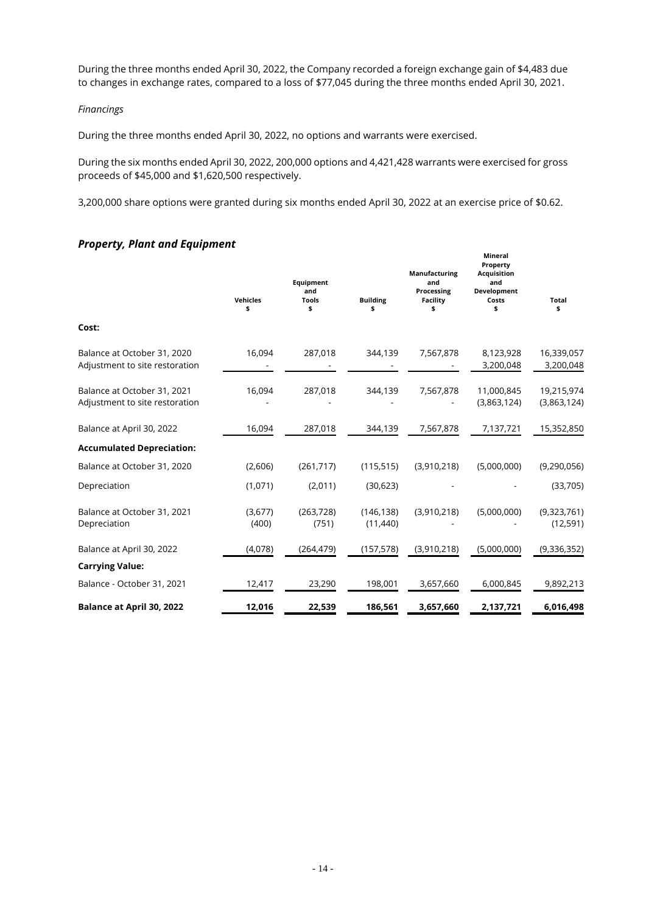During the three months ended April 30, 2022, the Company recorded a foreign exchange gain of \$4,483 due to changes in exchange rates, compared to a loss of \$77,045 during the three months ended April 30, 2021.

#### *Financings*

During the three months ended April 30, 2022, no options and warrants were exercised.

During the six months ended April 30, 2022, 200,000 options and 4,421,428 warrants were exercised for gross proceeds of \$45,000 and \$1,620,500 respectively.

3,200,000 share options were granted during six months ended April 30, 2022 at an exercise price of \$0.62.

# *Property, Plant and Equipment*

|                                                               | Vehicles<br>\$   | Equipment<br>and<br><b>Tools</b><br>\$ | <b>Building</b><br>\$   | <b>Manufacturing</b><br>and<br>Processing<br><b>Facility</b><br>\$ | Mineral<br>Property<br><b>Acquisition</b><br>and<br>Development<br>Costs<br>\$ | Total<br>\$               |
|---------------------------------------------------------------|------------------|----------------------------------------|-------------------------|--------------------------------------------------------------------|--------------------------------------------------------------------------------|---------------------------|
| Cost:                                                         |                  |                                        |                         |                                                                    |                                                                                |                           |
| Balance at October 31, 2020<br>Adjustment to site restoration | 16,094           | 287,018                                | 344,139                 | 7,567,878                                                          | 8,123,928<br>3,200,048                                                         | 16,339,057<br>3,200,048   |
| Balance at October 31, 2021<br>Adjustment to site restoration | 16,094           | 287,018                                | 344,139                 | 7,567,878                                                          | 11,000,845<br>(3,863,124)                                                      | 19,215,974<br>(3,863,124) |
| Balance at April 30, 2022                                     | 16,094           | 287,018                                | 344,139                 | 7,567,878                                                          | 7,137,721                                                                      | 15,352,850                |
| <b>Accumulated Depreciation:</b>                              |                  |                                        |                         |                                                                    |                                                                                |                           |
| Balance at October 31, 2020                                   | (2,606)          | (261, 717)                             | (115, 515)              | (3,910,218)                                                        | (5,000,000)                                                                    | (9,290,056)               |
| Depreciation                                                  | (1,071)          | (2,011)                                | (30, 623)               |                                                                    |                                                                                | (33,705)                  |
| Balance at October 31, 2021<br>Depreciation                   | (3,677)<br>(400) | (263, 728)<br>(751)                    | (146, 138)<br>(11, 440) | (3,910,218)                                                        | (5,000,000)                                                                    | (9,323,761)<br>(12, 591)  |
| Balance at April 30, 2022                                     | (4,078)          | (264, 479)                             | (157, 578)              | (3,910,218)                                                        | (5,000,000)                                                                    | (9,336,352)               |
| <b>Carrying Value:</b>                                        |                  |                                        |                         |                                                                    |                                                                                |                           |
| Balance - October 31, 2021                                    | 12,417           | 23,290                                 | 198,001                 | 3,657,660                                                          | 6,000,845                                                                      | 9,892,213                 |
| Balance at April 30, 2022                                     | 12,016           | 22,539                                 | 186,561                 | 3,657,660                                                          | 2,137,721                                                                      | 6,016,498                 |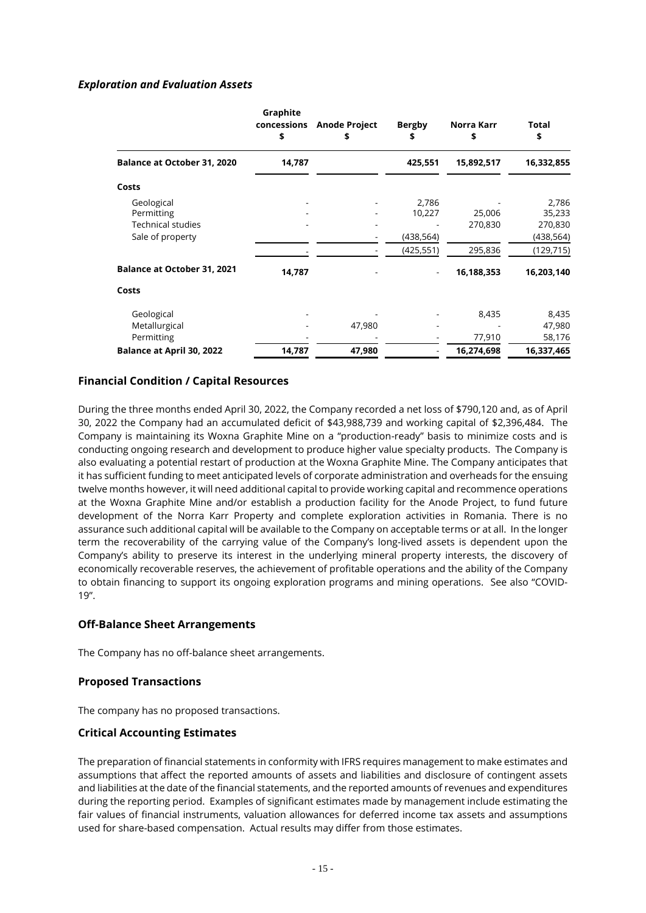# *Exploration and Evaluation Assets*

|                                    | Graphite<br>concessions<br>\$ | <b>Anode Project</b><br>s | <b>Bergby</b><br>\$ | Norra Karr<br>\$ | Total<br>\$ |
|------------------------------------|-------------------------------|---------------------------|---------------------|------------------|-------------|
| <b>Balance at October 31, 2020</b> | 14,787                        |                           | 425,551             | 15,892,517       | 16,332,855  |
| Costs                              |                               |                           |                     |                  |             |
| Geological                         |                               |                           | 2,786               |                  | 2,786       |
| Permitting                         |                               |                           | 10,227              | 25,006           | 35,233      |
| <b>Technical studies</b>           |                               |                           |                     | 270,830          | 270,830     |
| Sale of property                   |                               |                           | (438,564)           |                  | (438,564)   |
|                                    |                               |                           | (425, 551)          | 295,836          | (129,715)   |
| <b>Balance at October 31, 2021</b> | 14,787                        |                           |                     | 16,188,353       | 16,203,140  |
| Costs                              |                               |                           |                     |                  |             |
| Geological                         |                               |                           |                     | 8,435            | 8,435       |
| Metallurgical                      |                               | 47,980                    |                     |                  | 47,980      |
| Permitting                         |                               |                           |                     | 77,910           | 58,176      |
| Balance at April 30, 2022          | 14,787                        | 47,980                    |                     | 16,274,698       | 16,337,465  |

### **Financial Condition / Capital Resources**

During the three months ended April 30, 2022, the Company recorded a net loss of \$790,120 and, as of April 30, 2022 the Company had an accumulated deficit of \$43,988,739 and working capital of \$2,396,484. The Company is maintaining its Woxna Graphite Mine on a "production-ready" basis to minimize costs and is conducting ongoing research and development to produce higher value specialty products. The Company is also evaluating a potential restart of production at the Woxna Graphite Mine. The Company anticipates that it has sufficient funding to meet anticipated levels of corporate administration and overheads for the ensuing twelve months however, it will need additional capital to provide working capital and recommence operations at the Woxna Graphite Mine and/or establish a production facility for the Anode Project, to fund future development of the Norra Karr Property and complete exploration activities in Romania. There is no assurance such additional capital will be available to the Company on acceptable terms or at all. In the longer term the recoverability of the carrying value of the Company's long-lived assets is dependent upon the Company's ability to preserve its interest in the underlying mineral property interests, the discovery of economically recoverable reserves, the achievement of profitable operations and the ability of the Company to obtain financing to support its ongoing exploration programs and mining operations. See also "COVID-19".

### **Off-Balance Sheet Arrangements**

The Company has no off-balance sheet arrangements.

### **Proposed Transactions**

The company has no proposed transactions.

### **Critical Accounting Estimates**

The preparation of financial statements in conformity with IFRS requires management to make estimates and assumptions that affect the reported amounts of assets and liabilities and disclosure of contingent assets and liabilities at the date of the financial statements, and the reported amounts of revenues and expenditures during the reporting period. Examples of significant estimates made by management include estimating the fair values of financial instruments, valuation allowances for deferred income tax assets and assumptions used for share-based compensation. Actual results may differ from those estimates.